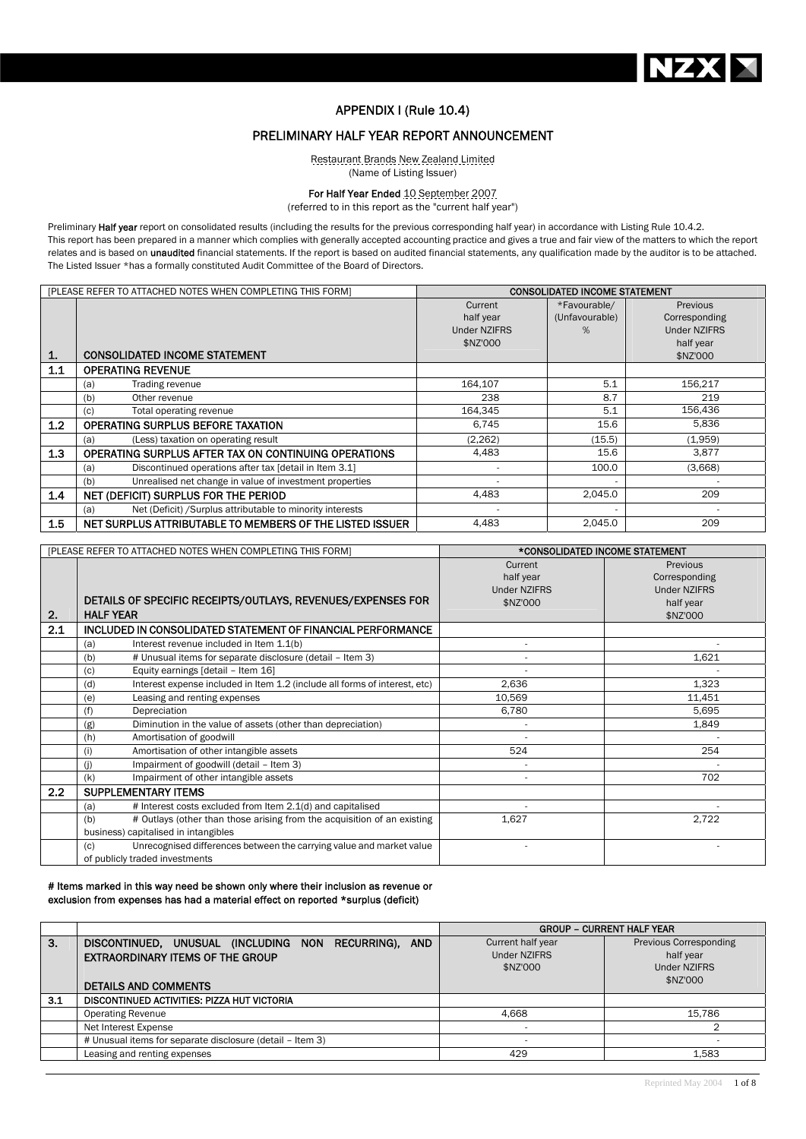

## APPENDIX I (Rule 10.4)

# PRELIMINARY HALF YEAR REPORT ANNOUNCEMENT

Restaurant Brands New Zealand Limited (Name of Listing Issuer)

#### For Half Year Ended 10 September 2007

(referred to in this report as the "current half year")

Preliminary Half year report on consolidated results (including the results for the previous corresponding half year) in accordance with Listing Rule 10.4.2. This report has been prepared in a manner which complies with generally accepted accounting practice and gives a true and fair view of the matters to which the report relates and is based on unaudited financial statements. If the report is based on audited financial statements, any qualification made by the auditor is to be attached. The Listed Issuer \*has a formally constituted Audit Committee of the Board of Directors.

|     | [PLEASE REFER TO ATTACHED NOTES WHEN COMPLETING THIS FORM]        |                     | <b>CONSOLIDATED INCOME STATEMENT</b> |                     |
|-----|-------------------------------------------------------------------|---------------------|--------------------------------------|---------------------|
|     |                                                                   | Current             | *Favourable/                         | Previous            |
|     |                                                                   | half year           | (Unfavourable)                       | Corresponding       |
|     |                                                                   | <b>Under NZIFRS</b> | %                                    | <b>Under NZIFRS</b> |
|     |                                                                   | \$NZ'000            |                                      | half year           |
| 1.  | <b>CONSOLIDATED INCOME STATEMENT</b>                              |                     |                                      | \$NZ'000            |
| 1.1 | <b>OPERATING REVENUE</b>                                          |                     |                                      |                     |
|     | Trading revenue<br>(a)                                            | 164,107             | 5.1                                  | 156,217             |
|     | (b)<br>Other revenue                                              | 238                 | 8.7                                  | 219                 |
|     | Total operating revenue<br>(c)                                    | 164,345             | 5.1                                  | 156.436             |
| 1.2 | OPERATING SURPLUS BEFORE TAXATION                                 | 6,745               | 15.6                                 | 5,836               |
|     | (Less) taxation on operating result<br>(a)                        | (2, 262)            | (15.5)                               | (1,959)             |
| 1.3 | OPERATING SURPLUS AFTER TAX ON CONTINUING OPERATIONS              | 4,483               | 15.6                                 | 3,877               |
|     | Discontinued operations after tax [detail in Item 3.1]<br>(a)     |                     | 100.0                                | (3,668)             |
|     | Unrealised net change in value of investment properties<br>(b)    |                     |                                      |                     |
| 1.4 | NET (DEFICIT) SURPLUS FOR THE PERIOD                              | 4,483               | 2,045.0                              | 209                 |
|     | Net (Deficit) / Surplus attributable to minority interests<br>(a) |                     | $\overline{\phantom{a}}$             |                     |
| 1.5 | NET SURPLUS ATTRIBUTABLE TO MEMBERS OF THE LISTED ISSUER          | 4,483               | 2,045.0                              | 209                 |

|     | [PLEASE REFER TO ATTACHED NOTES WHEN COMPLETING THIS FORM]                        | *CONSOLIDATED INCOME STATEMENT                          |                                                               |
|-----|-----------------------------------------------------------------------------------|---------------------------------------------------------|---------------------------------------------------------------|
| 2.  | DETAILS OF SPECIFIC RECEIPTS/OUTLAYS, REVENUES/EXPENSES FOR<br><b>HALF YEAR</b>   | Current<br>half year<br><b>Under NZIFRS</b><br>\$NZ'000 | Previous<br>Corresponding<br><b>Under NZIFRS</b><br>half year |
| 2.1 | <b>INCLUDED IN CONSOLIDATED STATEMENT OF FINANCIAL PERFORMANCE</b>                |                                                         | \$NZ'000                                                      |
|     |                                                                                   |                                                         |                                                               |
|     | Interest revenue included in Item 1.1(b)<br>(a)                                   |                                                         |                                                               |
|     | # Unusual items for separate disclosure (detail - Item 3)<br>(b)                  |                                                         | 1,621                                                         |
|     | Equity earnings [detail - Item 16]<br>(c)                                         |                                                         |                                                               |
|     | Interest expense included in Item 1.2 (include all forms of interest, etc)<br>(d) | 2,636                                                   | 1,323                                                         |
|     | (e)<br>Leasing and renting expenses                                               | 10,569                                                  | 11,451                                                        |
|     | (f)<br>Depreciation                                                               | 6,780                                                   | 5,695                                                         |
|     | Diminution in the value of assets (other than depreciation)<br>(g)                |                                                         | 1,849                                                         |
|     | Amortisation of goodwill<br>(h)                                                   |                                                         |                                                               |
|     | Amortisation of other intangible assets<br>(i)                                    | 524                                                     | 254                                                           |
|     | Impairment of goodwill (detail - Item 3)<br>(i)                                   |                                                         |                                                               |
|     | Impairment of other intangible assets<br>(k)                                      |                                                         | 702                                                           |
| 2.2 | <b>SUPPLEMENTARY ITEMS</b>                                                        |                                                         |                                                               |
|     | # Interest costs excluded from Item 2.1(d) and capitalised<br>(a)                 |                                                         |                                                               |
|     | (b)<br># Outlays (other than those arising from the acquisition of an existing    | 1,627                                                   | 2,722                                                         |
|     | business) capitalised in intangibles                                              |                                                         |                                                               |
|     | Unrecognised differences between the carrying value and market value<br>(c)       |                                                         |                                                               |
|     | of publicly traded investments                                                    |                                                         |                                                               |

### # Items marked in this way need be shown only where their inclusion as revenue or exclusion from expenses has had a material effect on reported \*surplus (deficit)

|     |                                                                                                                                |                                                      | <b>GROUP - CURRENT HALF YEAR</b>                                       |
|-----|--------------------------------------------------------------------------------------------------------------------------------|------------------------------------------------------|------------------------------------------------------------------------|
| 3.  | DISCONTINUED, UNUSUAL (INCLUDING NON RECURRING), AND<br><b>EXTRAORDINARY ITEMS OF THE GROUP</b><br><b>DETAILS AND COMMENTS</b> | Current half year<br><b>Under NZIFRS</b><br>\$NZ'000 | Previous Corresponding<br>half year<br><b>Under NZIFRS</b><br>\$NZ'000 |
| 3.1 | DISCONTINUED ACTIVITIES: PIZZA HUT VICTORIA                                                                                    |                                                      |                                                                        |
|     | <b>Operating Revenue</b>                                                                                                       | 4.668                                                | 15.786                                                                 |
|     | Net Interest Expense                                                                                                           |                                                      |                                                                        |
|     | # Unusual items for separate disclosure (detail - Item 3)                                                                      |                                                      |                                                                        |
|     | Leasing and renting expenses                                                                                                   | 429                                                  | 1.583                                                                  |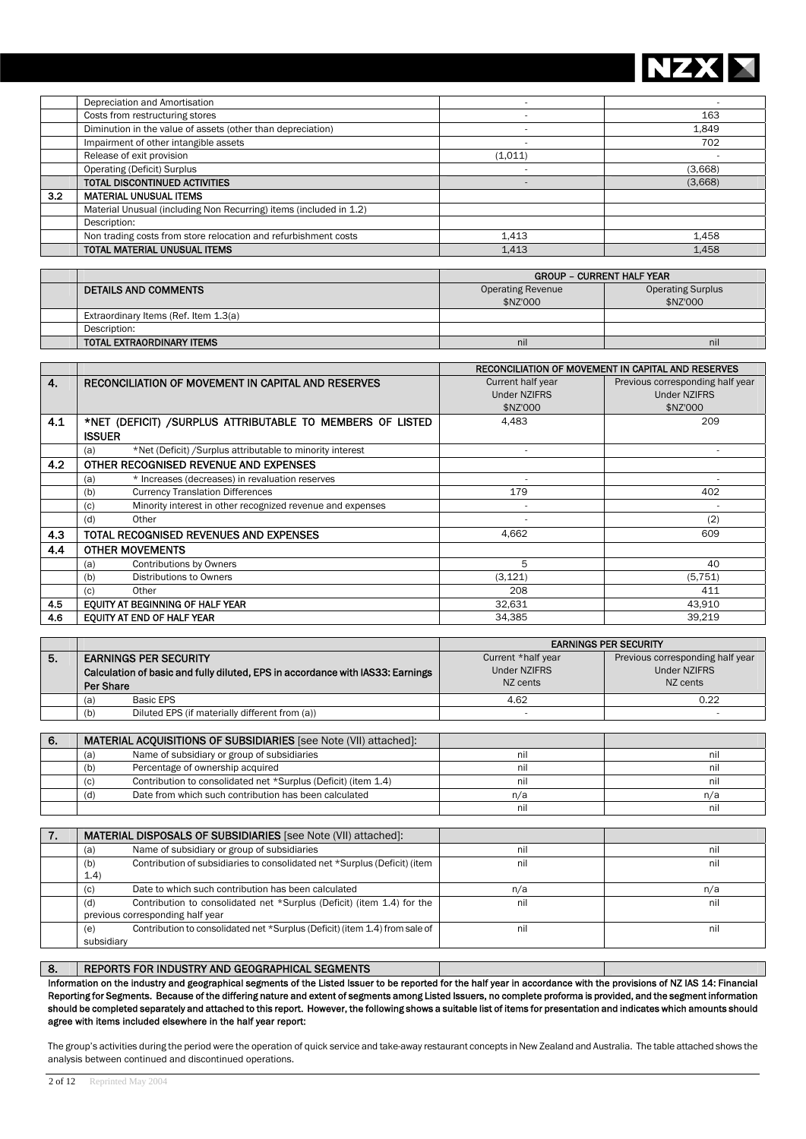

|     | Depreciation and Amortisation                                      |         |         |
|-----|--------------------------------------------------------------------|---------|---------|
|     | Costs from restructuring stores                                    |         | 163     |
|     | Diminution in the value of assets (other than depreciation)        |         | 1.849   |
|     | Impairment of other intangible assets                              |         | 702     |
|     | Release of exit provision                                          | (1,011) |         |
|     | <b>Operating (Deficit) Surplus</b>                                 |         | (3,668) |
|     | TOTAL DISCONTINUED ACTIVITIES                                      |         | (3,668) |
| 3.2 | <b>MATERIAL UNUSUAL ITEMS</b>                                      |         |         |
|     | Material Unusual (including Non Recurring) items (included in 1.2) |         |         |
|     | Description:                                                       |         |         |
|     | Non trading costs from store relocation and refurbishment costs    | 1.413   | 1.458   |
|     | TOTAL MATERIAL UNUSUAL ITEMS                                       | 1.413   | 1.458   |

|                                       | <b>GROUP - CURRENT HALF YEAR</b> |                          |  |  |
|---------------------------------------|----------------------------------|--------------------------|--|--|
| <b>DETAILS AND COMMENTS</b>           | <b>Operating Revenue</b>         | <b>Operating Surplus</b> |  |  |
|                                       | \$NZ'000                         | \$NZ'000                 |  |  |
| Extraordinary Items (Ref. Item 1.3(a) |                                  |                          |  |  |
| Description:                          |                                  |                          |  |  |
| TOTAL EXTRAORDINARY ITEMS             | nil                              | nil                      |  |  |

|     |                                                                   | <b>RECONCILIATION OF MOVEMENT IN CAPITAL AND RESERVES</b> |                                  |  |
|-----|-------------------------------------------------------------------|-----------------------------------------------------------|----------------------------------|--|
| 4.  | <b>RECONCILIATION OF MOVEMENT IN CAPITAL AND RESERVES</b>         | Current half year                                         | Previous corresponding half year |  |
|     |                                                                   | <b>Under NZIFRS</b>                                       | <b>Under NZIFRS</b>              |  |
|     |                                                                   | \$NZ'000                                                  | \$NZ'000                         |  |
| 4.1 | *NET (DEFICIT) / SURPLUS ATTRIBUTABLE TO MEMBERS OF LISTED        | 4,483                                                     | 209                              |  |
|     | <b>ISSUER</b>                                                     |                                                           |                                  |  |
|     | *Net (Deficit) / Surplus attributable to minority interest<br>(a) |                                                           |                                  |  |
| 4.2 | OTHER RECOGNISED REVENUE AND EXPENSES                             |                                                           |                                  |  |
|     | * Increases (decreases) in revaluation reserves<br>(a)            |                                                           |                                  |  |
|     | <b>Currency Translation Differences</b><br>(b)                    | 179                                                       | 402                              |  |
|     | Minority interest in other recognized revenue and expenses<br>(c) |                                                           |                                  |  |
|     | Other<br>(d)                                                      |                                                           | (2)                              |  |
| 4.3 | TOTAL RECOGNISED REVENUES AND EXPENSES                            | 4.662                                                     | 609                              |  |
| 4.4 | <b>OTHER MOVEMENTS</b>                                            |                                                           |                                  |  |
|     | Contributions by Owners<br>(a)                                    | 5                                                         | 40                               |  |
|     | Distributions to Owners<br>(b)                                    | (3, 121)                                                  | (5, 751)                         |  |
|     | Other<br>(c)                                                      | 208                                                       | 411                              |  |
| 4.5 | EQUITY AT BEGINNING OF HALF YEAR                                  | 32,631                                                    | 43,910                           |  |
| 4.6 | EQUITY AT END OF HALF YEAR                                        | 34,385                                                    | 39,219                           |  |

|    |                                                                                | <b>EARNINGS PER SECURITY</b> |                                  |  |
|----|--------------------------------------------------------------------------------|------------------------------|----------------------------------|--|
| 5. | <b>EARNINGS PER SECURITY</b>                                                   | Current *half year           | Previous corresponding half year |  |
|    | Calculation of basic and fully diluted, EPS in accordance with IAS33: Earnings | <b>Under NZIFRS</b>          | <b>Under NZIFRS</b>              |  |
|    | Per Share                                                                      | NZ cents                     | NZ cents                         |  |
|    | Basic EPS<br>(a)                                                               | 4.62                         | 0.22                             |  |
|    | Diluted EPS (if materially different from (a))<br>(b)                          |                              |                                  |  |
|    |                                                                                |                              |                                  |  |
| 6. | <b>MATERIAL ACQUISITIONS OF SUBSIDIARIES</b> [see Note (VII) attached]:        |                              |                                  |  |
|    | Name of subsidiary or group of subsidiaries<br>(a)                             | nil                          | nil                              |  |
|    | Percentage of ownership acquired<br>(b)                                        | nil                          | nil                              |  |
|    | Contribution to consolidated net *Surplus (Deficit) (item 1.4)<br>(C)          | nil                          | nil                              |  |
|    | Date from which such contribution has been calculated<br>(d)                   | n/a                          | n/a                              |  |
|    |                                                                                | nil                          | nil                              |  |

| <b>MATERIAL DISPOSALS OF SUBSIDIARIES</b> [see Note (VII) attached]:               |     |     |
|------------------------------------------------------------------------------------|-----|-----|
| Name of subsidiary or group of subsidiaries<br>(a)                                 | nil | nil |
| Contribution of subsidiaries to consolidated net *Surplus (Deficit) (item<br>(b)   | nil | nil |
| 1.4)                                                                               |     |     |
| Date to which such contribution has been calculated<br>(c)                         | n/a | n/a |
| Contribution to consolidated net *Surplus (Deficit) (item 1.4) for the<br>(d)      | nil | nil |
| previous corresponding half year                                                   |     |     |
| Contribution to consolidated net *Surplus (Deficit) (item 1.4) from sale of<br>(e) | nil | nil |
| subsidiary                                                                         |     |     |

## 8. REPORTS FOR INDUSTRY AND GEOGRAPHICAL SEGMENTS

Information on the industry and geographical segments of the Listed Issuer to be reported for the half year in accordance with the provisions of NZ IAS 14: Financial Reporting for Segments. Because of the differing nature and extent of segments among Listed Issuers, no complete proforma is provided, and the segment information should be completed separately and attached to this report. However, the following shows a suitable list of items for presentation and indicates which amounts should agree with items included elsewhere in the half year report:

The group's activities during the period were the operation of quick service and take-away restaurant concepts in New Zealand and Australia. The table attached shows the analysis between continued and discontinued operations.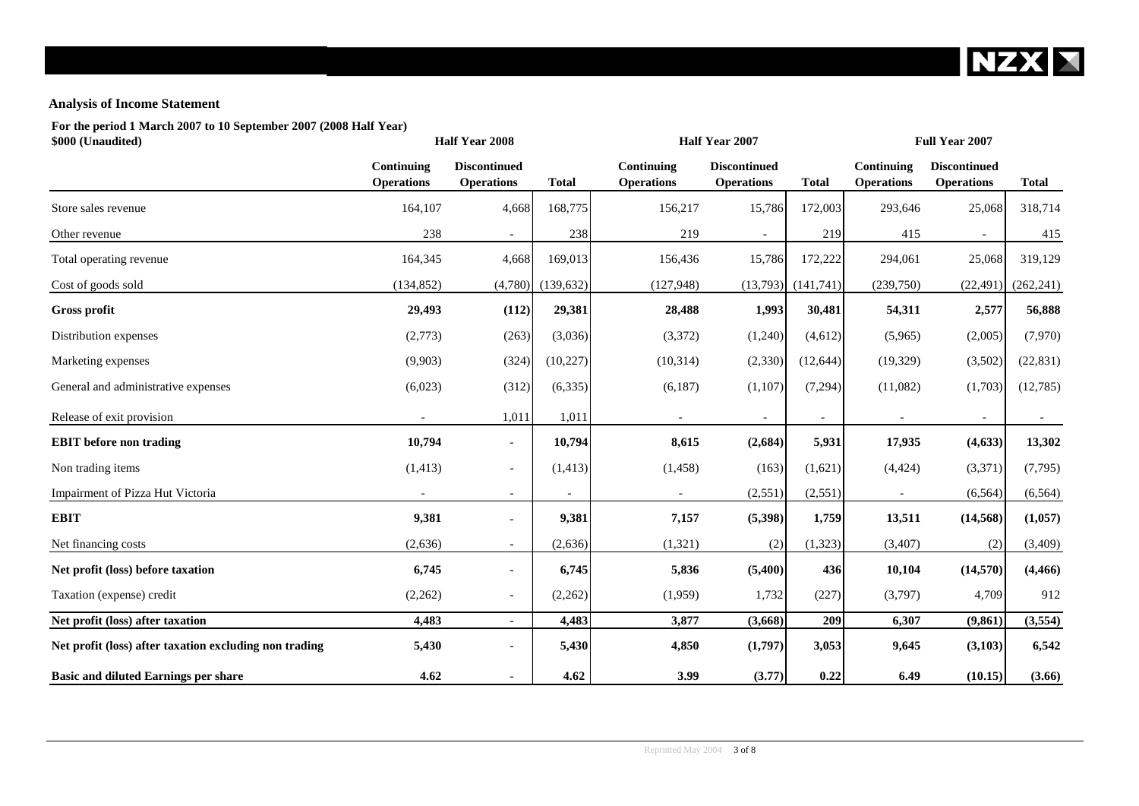

# **Analysis of Income Statement**

**For the period 1 March 2007 to 10 September 2007 (2008 Half Year)**

| \$000 (Unaudited)                                      |                                 | Half Year 2008                           |              |                                 | Half Year 2007                           |                          |                                 | Full Year 2007                           |              |  |
|--------------------------------------------------------|---------------------------------|------------------------------------------|--------------|---------------------------------|------------------------------------------|--------------------------|---------------------------------|------------------------------------------|--------------|--|
|                                                        | Continuing<br><b>Operations</b> | <b>Discontinued</b><br><b>Operations</b> | <b>Total</b> | Continuing<br><b>Operations</b> | <b>Discontinued</b><br><b>Operations</b> | <b>Total</b>             | Continuing<br><b>Operations</b> | <b>Discontinued</b><br><b>Operations</b> | <b>Total</b> |  |
| Store sales revenue                                    | 164,107                         | 4,668                                    | 168,775      | 156,217                         | 15,786                                   | 172,003                  | 293,646                         | 25,068                                   | 318,714      |  |
| Other revenue                                          | 238                             | $\overline{\phantom{a}}$                 | 238          | 219                             | $\overline{\phantom{a}}$                 | 219                      | 415                             | $\overline{\phantom{a}}$                 | 415          |  |
| Total operating revenue                                | 164,345                         | 4,668                                    | 169,013      | 156,436                         | 15,786                                   | 172,222                  | 294,061                         | 25,068                                   | 319,129      |  |
| Cost of goods sold                                     | (134, 852)                      | (4,780)                                  | (139, 632)   | (127, 948)                      | (13,793)                                 | (141,741)                | (239,750)                       | (22, 491)                                | (262, 241)   |  |
| Gross profit                                           | 29,493                          | (112)                                    | 29,381       | 28,488                          | 1,993                                    | 30,481                   | 54,311                          | 2,577                                    | 56,888       |  |
| Distribution expenses                                  | (2,773)                         | (263)                                    | (3,036)      | (3,372)                         | (1,240)                                  | (4,612)                  | (5,965)                         | (2,005)                                  | (7,970)      |  |
| Marketing expenses                                     | (9,903)                         | (324)                                    | (10, 227)    | (10, 314)                       | (2, 330)                                 | (12, 644)                | (19, 329)                       | (3,502)                                  | (22, 831)    |  |
| General and administrative expenses                    | (6,023)                         | (312)                                    | (6,335)      | (6,187)                         | (1,107)                                  | (7,294)                  | (11,082)                        | (1,703)                                  | (12,785)     |  |
| Release of exit provision                              | $\sim$                          | 1,011                                    | 1,011        | $\overline{\phantom{a}}$        | $\overline{\phantom{a}}$                 | $\overline{\phantom{a}}$ | $\overline{\phantom{a}}$        | $\sim$                                   | $\sim$       |  |
| <b>EBIT</b> before non trading                         | 10,794                          | $\blacksquare$                           | 10,794       | 8,615                           | (2,684)                                  | 5,931                    | 17,935                          | (4, 633)                                 | 13,302       |  |
| Non trading items                                      | (1, 413)                        | $\overline{\phantom{a}}$                 | (1, 413)     | (1, 458)                        | (163)                                    | (1,621)                  | (4, 424)                        | (3,371)                                  | (7,795)      |  |
| Impairment of Pizza Hut Victoria                       |                                 | $\sim$                                   |              |                                 | (2, 551)                                 | (2,551)                  |                                 | (6, 564)                                 | (6, 564)     |  |
| <b>EBIT</b>                                            | 9,381                           | $\overline{\phantom{a}}$                 | 9,381        | 7,157                           | (5, 398)                                 | 1,759                    | 13,511                          | (14, 568)                                | (1,057)      |  |
| Net financing costs                                    | (2,636)                         | $\sim$                                   | (2,636)      | (1,321)                         | (2)                                      | (1, 323)                 | (3,407)                         | (2)                                      | (3, 409)     |  |
| Net profit (loss) before taxation                      | 6,745                           | $\overline{\phantom{a}}$                 | 6,745        | 5,836                           | (5,400)                                  | 436                      | 10,104                          | (14,570)                                 | (4, 466)     |  |
| Taxation (expense) credit                              | (2,262)                         | $\overline{\phantom{a}}$                 | (2,262)      | (1,959)                         | 1,732                                    | (227)                    | (3,797)                         | 4,709                                    | 912          |  |
| Net profit (loss) after taxation                       | 4,483                           | $\overline{\phantom{0}}$                 | 4,483        | 3,877                           | (3,668)                                  | 209                      | 6,307                           | (9, 861)                                 | (3,554)      |  |
| Net profit (loss) after taxation excluding non trading | 5,430                           | $\blacksquare$                           | 5,430        | 4,850                           | (1,797)                                  | 3,053                    | 9,645                           | (3,103)                                  | 6,542        |  |
| <b>Basic and diluted Earnings per share</b>            | 4.62                            | $\overline{\phantom{a}}$                 | 4.62         | 3.99                            | (3.77)                                   | 0.22                     | 6.49                            | (10.15)                                  | (3.66)       |  |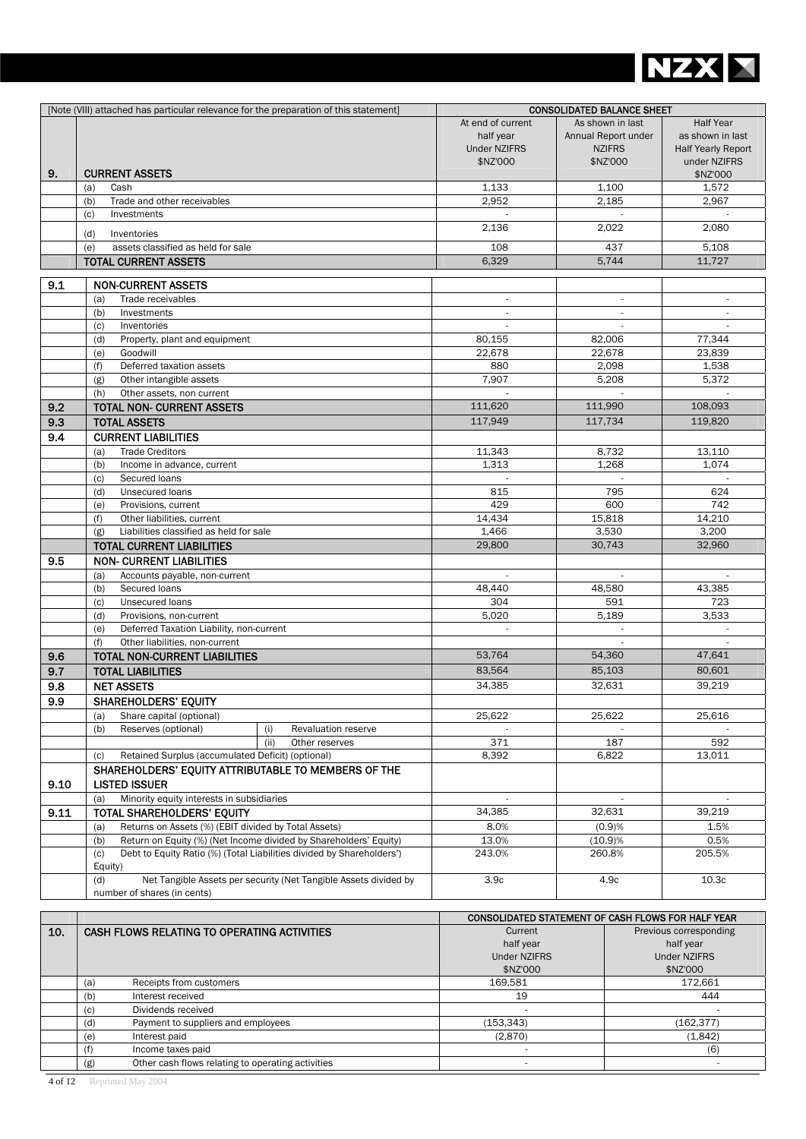

|      | [Note (VIII) attached has particular relevance for the preparation of this statement]    |                          | <b>CONSOLIDATED BALANCE SHEET</b> |                           |
|------|------------------------------------------------------------------------------------------|--------------------------|-----------------------------------|---------------------------|
|      |                                                                                          | At end of current        | As shown in last                  | <b>Half Year</b>          |
|      |                                                                                          | half year                | Annual Report under               | as shown in last          |
|      |                                                                                          | <b>Under NZIFRS</b>      | <b>NZIFRS</b>                     | <b>Half Yearly Report</b> |
|      |                                                                                          | \$NZ'000                 | \$NZ'000                          | under NZIFRS              |
| 9.   | <b>CURRENT ASSETS</b>                                                                    |                          |                                   | \$NZ'000                  |
|      | Cash<br>(a)                                                                              | 1,133                    | 1.100                             | 1,572                     |
|      | (b)<br>Trade and other receivables                                                       | 2,952                    | 2,185                             | 2,967                     |
|      | (c)<br>Investments                                                                       |                          |                                   |                           |
|      | (d)<br>Inventories                                                                       | 2,136                    | 2,022                             | 2,080                     |
|      | assets classified as held for sale<br>(e)                                                | 108                      | 437                               | 5,108                     |
|      | <b>TOTAL CURRENT ASSETS</b>                                                              | 6,329                    | 5,744                             | 11,727                    |
|      |                                                                                          |                          |                                   |                           |
| 9.1  | <b>NON-CURRENT ASSETS</b>                                                                |                          |                                   |                           |
|      | Trade receivables<br>(a)                                                                 | $\overline{\phantom{a}}$ |                                   |                           |
|      | Investments<br>(b)                                                                       |                          |                                   | ×.                        |
|      | (c)<br>Inventories                                                                       |                          |                                   |                           |
|      | Property, plant and equipment<br>(d)                                                     | 80,155                   | 82,006                            | 77,344                    |
|      | Goodwill<br>(e)                                                                          | 22,678                   | 22,678                            | 23,839                    |
|      | Deferred taxation assets<br>(f)                                                          | 880                      | 2,098                             | 1,538                     |
|      | Other intangible assets<br>(g)                                                           | 7,907                    | 5,208                             | 5,372                     |
|      | (h)<br>Other assets, non current                                                         |                          |                                   |                           |
| 9.2  | <b>TOTAL NON- CURRENT ASSETS</b>                                                         | 111.620                  | 111.990                           | 108,093                   |
| 9.3  | <b>TOTAL ASSETS</b>                                                                      | 117,949                  | 117,734                           | 119,820                   |
| 9.4  | <b>CURRENT LIABILITIES</b>                                                               |                          |                                   |                           |
|      | <b>Trade Creditors</b><br>(a)                                                            | 11,343                   | 8,732                             | 13,110                    |
|      | (b)<br>Income in advance, current                                                        | 1,313                    | 1,268                             | 1,074                     |
|      | Secured loans<br>(c)                                                                     |                          |                                   |                           |
|      | Unsecured loans<br>(d)                                                                   | 815                      | 795                               | 624                       |
|      | Provisions, current<br>(e)                                                               | 429                      | 600                               | 742                       |
|      | Other liabilities, current<br>(f)                                                        | 14,434                   | 15,818                            | 14,210                    |
|      | Liabilities classified as held for sale<br>(g)                                           | 1,466                    | 3,530                             | 3,200                     |
|      | <b>TOTAL CURRENT LIABILITIES</b>                                                         | 29,800                   | 30,743                            | 32,960                    |
|      |                                                                                          |                          |                                   |                           |
| 9.5  | <b>NON- CURRENT LIABILITIES</b>                                                          |                          |                                   |                           |
|      | Accounts payable, non-current<br>(a)                                                     |                          |                                   | $\overline{\phantom{a}}$  |
|      | Secured loans<br>(b)                                                                     | 48,440<br>304            | 48,580                            | 43,385                    |
|      | Unsecured loans<br>(c)                                                                   |                          | 591                               | 723<br>3,533              |
|      | Provisions, non-current<br>(d)                                                           | 5,020                    | 5,189                             |                           |
|      | Deferred Taxation Liability, non-current<br>(e)<br>(f)<br>Other liabilities, non-current |                          | $\sim$                            | $\mathcal{L}$             |
|      | <b>TOTAL NON-CURRENT LIABILITIES</b>                                                     | 53.764                   | 54,360                            | 47,641                    |
| 9.6  |                                                                                          |                          |                                   |                           |
| 9.7  | <b>TOTAL LIABILITIES</b>                                                                 | 83,564                   | 85,103                            | 80,601                    |
| 9.8  | <b>NET ASSETS</b>                                                                        | 34,385                   | 32,631                            | 39,219                    |
| 9.9  | <b>SHAREHOLDERS' EQUITY</b>                                                              |                          |                                   |                           |
|      | Share capital (optional)<br>(a)                                                          | 25,622                   | 25,622                            | 25,616                    |
|      | Reserves (optional)<br>(b)<br>Revaluation reserve<br>(i)                                 |                          |                                   |                           |
|      | (ii)<br>Other reserves                                                                   | 371                      | 187                               | 592                       |
|      | Retained Surplus (accumulated Deficit) (optional)<br>(c)                                 | 8,392                    | 6,822                             | 13,011                    |
|      | SHAREHOLDERS' EQUITY ATTRIBUTABLE TO MEMBERS OF THE                                      |                          |                                   |                           |
| 9.10 | <b>LISTED ISSUER</b>                                                                     |                          |                                   |                           |
|      | Minority equity interests in subsidiaries<br>(a)                                         |                          |                                   |                           |
| 9.11 | TOTAL SHAREHOLDERS' EQUITY                                                               | 34,385                   | 32,631                            | 39,219                    |
|      | Returns on Assets (%) (EBIT divided by Total Assets)<br>(a)                              | 8.0%                     | (0.9)%                            | 1.5%                      |
|      | Return on Equity (%) (Net Income divided by Shareholders' Equity)<br>(b)                 | 13.0%                    | (10.9)%                           | 0.5%                      |
|      | Debt to Equity Ratio (%) (Total Liabilities divided by Shareholders')<br>(c)             | 243.0%                   | 260.8%                            | 205.5%                    |
|      | Equity)                                                                                  |                          |                                   |                           |
|      | Net Tangible Assets per security (Net Tangible Assets divided by<br>(d)                  | 3.9 <sub>c</sub>         | 4.9c                              | 10.3c                     |
|      | number of shares (in cents)                                                              |                          |                                   |                           |

|     |                                                          | CONSOLIDATED STATEMENT OF CASH FLOWS FOR HALF YEAR |                        |  |
|-----|----------------------------------------------------------|----------------------------------------------------|------------------------|--|
| 10. | CASH FLOWS RELATING TO OPERATING ACTIVITIES              | Current                                            | Previous corresponding |  |
|     |                                                          | half year                                          | half year              |  |
|     |                                                          | <b>Under NZIFRS</b>                                | <b>Under NZIFRS</b>    |  |
|     |                                                          | \$NZ'000                                           | \$NZ'000               |  |
|     | Receipts from customers<br>(a)                           | 169.581                                            | 172.661                |  |
|     | Interest received<br>(b)                                 | 19                                                 | 444                    |  |
|     | Dividends received<br>(c)                                |                                                    |                        |  |
|     | Payment to suppliers and employees<br>(d)                | (153, 343)                                         | (162, 377)             |  |
|     | Interest paid<br>(e)                                     | (2,870)                                            | (1,842)                |  |
|     | Income taxes paid<br>(f                                  |                                                    | (6)                    |  |
|     | Other cash flows relating to operating activities<br>(g) |                                                    |                        |  |

4 of 12 Reprinted May 2004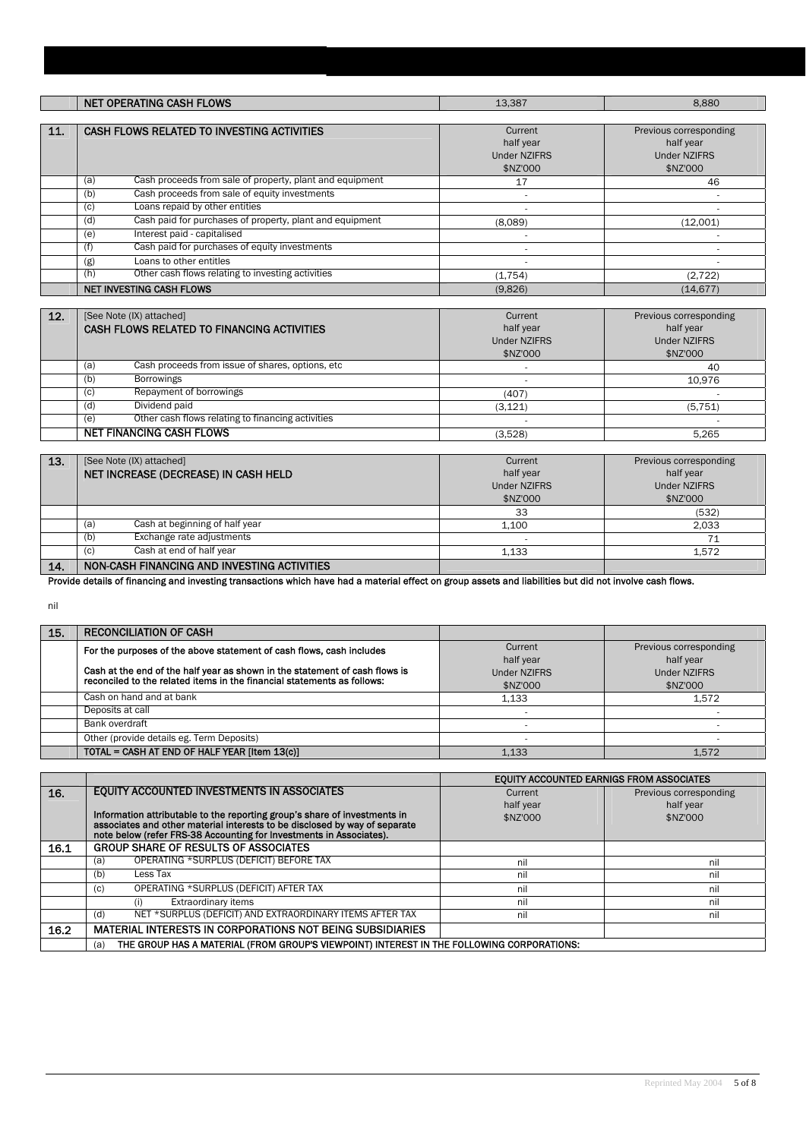|     | <b>NET OPERATING CASH FLOWS</b>                                        | 13,387                                                  | 8.880                                                                  |
|-----|------------------------------------------------------------------------|---------------------------------------------------------|------------------------------------------------------------------------|
|     |                                                                        |                                                         |                                                                        |
| 11. | CASH FLOWS RELATED TO INVESTING ACTIVITIES                             | Current<br>half year<br><b>Under NZIFRS</b><br>\$NZ'000 | Previous corresponding<br>half year<br><b>Under NZIFRS</b><br>\$NZ'000 |
|     | Cash proceeds from sale of property, plant and equipment<br>(a)        | 17                                                      | 46                                                                     |
|     | Cash proceeds from sale of equity investments<br>(b)                   |                                                         |                                                                        |
|     | Loans repaid by other entities<br>(c)                                  |                                                         |                                                                        |
|     | Cash paid for purchases of property, plant and equipment<br>(d)        | (8,089)                                                 | (12,001)                                                               |
|     | Interest paid - capitalised<br>(e)                                     |                                                         |                                                                        |
|     | Cash paid for purchases of equity investments<br>(f)                   |                                                         |                                                                        |
|     | Loans to other entitles<br>(g)                                         |                                                         |                                                                        |
|     | Other cash flows relating to investing activities<br>(h)               | (1,754)                                                 | (2, 722)                                                               |
|     | <b>NET INVESTING CASH FLOWS</b>                                        | (9.826)                                                 | (14.677)                                                               |
|     |                                                                        |                                                         |                                                                        |
| 12. | [See Note (IX) attached]<br>CASH FLOWS RELATED TO FINANCING ACTIVITIES | Current<br>half year<br><b>Under NZIFRS</b><br>\$NZ'000 | Previous corresponding<br>half year<br><b>Under NZIFRS</b><br>\$NZ'000 |
|     | Cash proceeds from issue of shares, options, etc<br>(a)                |                                                         | 40                                                                     |
|     | (b)<br><b>Borrowings</b>                                               |                                                         | 10,976                                                                 |
|     | Repayment of borrowings<br>(c)                                         | (407)                                                   |                                                                        |
|     | Dividend paid<br>(d)                                                   | (3, 121)                                                | (5, 751)                                                               |
|     | Other cash flows relating to financing activities<br>(e)               |                                                         |                                                                        |
|     | <b>NET FINANCING CASH FLOWS</b>                                        | (3,528)                                                 | 5,265                                                                  |

| 13. | [See Note (IX) attached]                    | Current             | Previous corresponding |
|-----|---------------------------------------------|---------------------|------------------------|
|     | NET INCREASE (DECREASE) IN CASH HELD        | half year           | half year              |
|     |                                             | <b>Under NZIFRS</b> | <b>Under NZIFRS</b>    |
|     |                                             | \$NZ'000            | \$NZ'000               |
|     |                                             | 33                  | (532)                  |
|     | Cash at beginning of half year<br>(a        | 1.100               | 2.033                  |
|     | Exchange rate adjustments<br>(b)            |                     |                        |
|     | Cash at end of half year<br>(C)             | 1.133               | 1.572                  |
| 14. | NON-CASH FINANCING AND INVESTING ACTIVITIES |                     |                        |

Provide details of financing and investing transactions which have had a material effect on group assets and liabilities but did not involve cash flows.

nil

| 15. | <b>RECONCILIATION OF CASH</b>                                               |                     |                        |
|-----|-----------------------------------------------------------------------------|---------------------|------------------------|
|     | For the purposes of the above statement of cash flows, cash includes        | Current             | Previous corresponding |
|     |                                                                             | half year           | half year              |
|     | Cash at the end of the half year as shown in the statement of cash flows is | <b>Under NZIFRS</b> | <b>Under NZIFRS</b>    |
|     | reconciled to the related items in the financial statements as follows:     | \$NZ'000            | \$NZ'000               |
|     | Cash on hand and at bank                                                    | 1.133               | 1.572                  |
|     | Deposits at call                                                            |                     |                        |
|     | Bank overdraft                                                              |                     |                        |
|     | Other (provide details eg. Term Deposits)                                   |                     |                        |
|     | TOTAL = CASH AT END OF HALF YEAR [Item 13(c)]                               | 1.133               | 1.572                  |

|      |                                                                                                                                                   | EOUITY ACCOUNTED EARNIGS FROM ASSOCIATES |                        |
|------|---------------------------------------------------------------------------------------------------------------------------------------------------|------------------------------------------|------------------------|
| 16.  | EQUITY ACCOUNTED INVESTMENTS IN ASSOCIATES                                                                                                        | Current                                  | Previous corresponding |
|      |                                                                                                                                                   | half year                                | half year              |
|      | Information attributable to the reporting group's share of investments in                                                                         | \$NZ'000                                 | \$NZ'000               |
|      | associates and other material interests to be disclosed by way of separate<br>note below (refer FRS-38 Accounting for Investments in Associates). |                                          |                        |
| 16.1 | <b>GROUP SHARE OF RESULTS OF ASSOCIATES</b>                                                                                                       |                                          |                        |
|      | OPERATING *SURPLUS (DEFICIT) BEFORE TAX<br>(a)                                                                                                    | nil                                      | nil                    |
|      | Less Tax<br>(b)                                                                                                                                   | nil                                      | nil                    |
|      | OPERATING *SURPLUS (DEFICIT) AFTER TAX<br>(c)                                                                                                     | nil                                      | nil                    |
|      | <b>Extraordinary items</b>                                                                                                                        | nil                                      | nil                    |
|      | NET *SURPLUS (DEFICIT) AND EXTRAORDINARY ITEMS AFTER TAX<br>(d)                                                                                   | nil                                      | nil                    |
| 16.2 | MATERIAL INTERESTS IN CORPORATIONS NOT BEING SUBSIDIARIES                                                                                         |                                          |                        |
|      | THE GROUP HAS A MATERIAL (FROM GROUP'S VIEWPOINT) INTEREST IN THE FOLLOWING CORPORATIONS:<br>(a)                                                  |                                          |                        |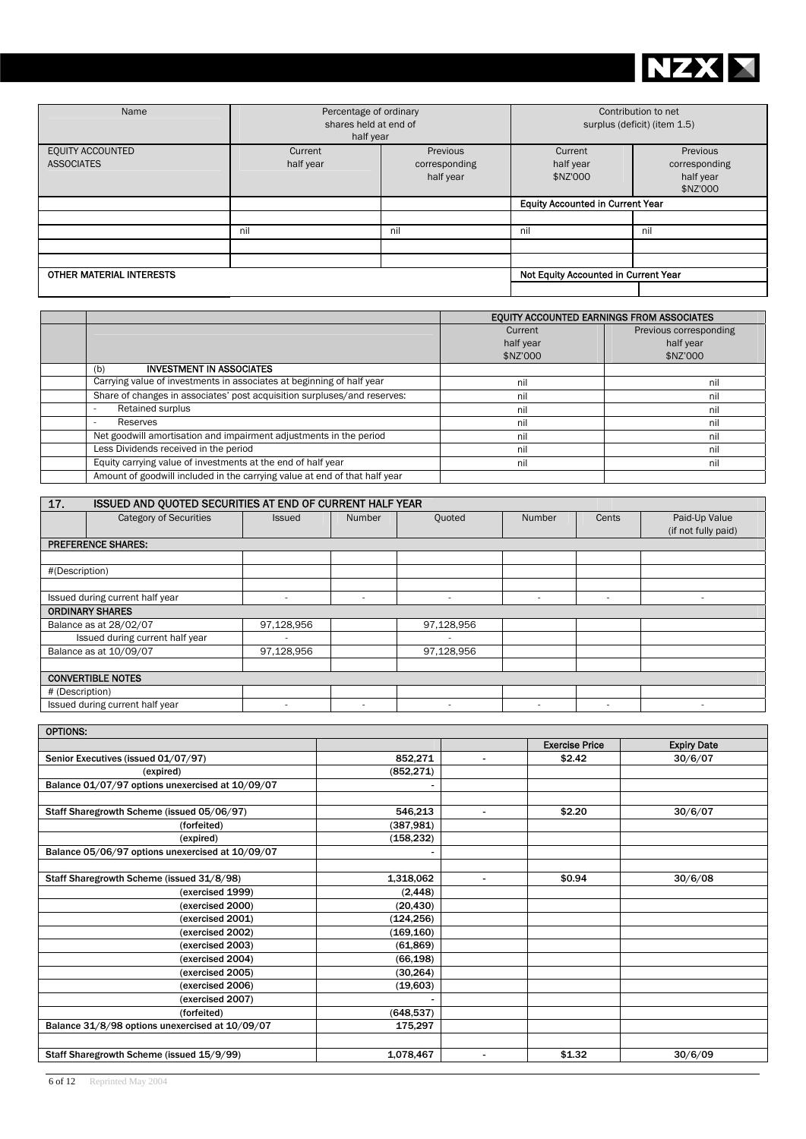

| Name                                  | Percentage of ordinary<br>shares held at end of<br>half year |                                        | Contribution to net<br>surplus (deficit) (item 1.5) |                                                    |
|---------------------------------------|--------------------------------------------------------------|----------------------------------------|-----------------------------------------------------|----------------------------------------------------|
| EQUITY ACCOUNTED<br><b>ASSOCIATES</b> | Current<br>half year                                         | Previous<br>corresponding<br>half year | Current<br>half year<br>\$NZ'000                    | Previous<br>corresponding<br>half year<br>\$NZ'000 |
|                                       |                                                              |                                        | <b>Equity Accounted in Current Year</b>             |                                                    |
|                                       |                                                              |                                        |                                                     |                                                    |
|                                       | nil                                                          | nil                                    | nil                                                 | nil                                                |
|                                       |                                                              |                                        |                                                     |                                                    |
|                                       |                                                              |                                        |                                                     |                                                    |
| OTHER MATERIAL INTERESTS              |                                                              |                                        | Not Equity Accounted in Current Year                |                                                    |
|                                       |                                                              |                                        |                                                     |                                                    |

|                                                                            | EQUITY ACCOUNTED EARNINGS FROM ASSOCIATES |                        |  |  |
|----------------------------------------------------------------------------|-------------------------------------------|------------------------|--|--|
|                                                                            | Current                                   | Previous corresponding |  |  |
|                                                                            | half year                                 | half year              |  |  |
|                                                                            | \$NZ'000                                  | \$NZ'000               |  |  |
| <b>INVESTMENT IN ASSOCIATES</b><br>(b)                                     |                                           |                        |  |  |
| Carrying value of investments in associates at beginning of half year      | nil                                       | nil                    |  |  |
| Share of changes in associates' post acquisition surpluses/and reserves:   | nil                                       | nil                    |  |  |
| Retained surplus                                                           | nil                                       | nil                    |  |  |
| Reserves                                                                   | nil                                       | nil                    |  |  |
| Net goodwill amortisation and impairment adjustments in the period         | nil                                       | nil                    |  |  |
| Less Dividends received in the period                                      | nil                                       | nil                    |  |  |
| Equity carrying value of investments at the end of half year               | nil                                       | nil                    |  |  |
| Amount of goodwill included in the carrying value at end of that half year |                                           |                        |  |  |

| 17.                             | ISSUED AND QUOTED SECURITIES AT END OF CURRENT HALF YEAR |                          |                          |                          |                          |        |                          |
|---------------------------------|----------------------------------------------------------|--------------------------|--------------------------|--------------------------|--------------------------|--------|--------------------------|
|                                 | <b>Category of Securities</b>                            | <b>Issued</b>            | <b>Number</b>            | Quoted                   | Number                   | Cents  | Paid-Up Value            |
|                                 |                                                          |                          |                          |                          |                          |        | (if not fully paid)      |
|                                 | <b>PREFERENCE SHARES:</b>                                |                          |                          |                          |                          |        |                          |
|                                 |                                                          |                          |                          |                          |                          |        |                          |
| #(Description)                  |                                                          |                          |                          |                          |                          |        |                          |
|                                 |                                                          |                          |                          |                          |                          |        |                          |
| Issued during current half year |                                                          | $\overline{\phantom{a}}$ | $\overline{\phantom{a}}$ |                          | $\overline{\phantom{a}}$ | $\sim$ | $\overline{\phantom{a}}$ |
|                                 | <b>ORDINARY SHARES</b>                                   |                          |                          |                          |                          |        |                          |
|                                 | Balance as at 28/02/07                                   | 97,128,956               |                          | 97,128,956               |                          |        |                          |
|                                 | Issued during current half year                          | $\overline{\phantom{a}}$ |                          | $\overline{\phantom{a}}$ |                          |        |                          |
|                                 | Balance as at 10/09/07                                   | 97,128,956               |                          | 97,128,956               |                          |        |                          |
|                                 |                                                          |                          |                          |                          |                          |        |                          |
| <b>CONVERTIBLE NOTES</b>        |                                                          |                          |                          |                          |                          |        |                          |
| # (Description)                 |                                                          |                          |                          |                          |                          |        |                          |
|                                 | Issued during current half year                          |                          | $\overline{\phantom{a}}$ |                          | ۰                        |        |                          |

| <b>OPTIONS:</b>                                  |                                       |                       |                    |
|--------------------------------------------------|---------------------------------------|-----------------------|--------------------|
|                                                  |                                       | <b>Exercise Price</b> | <b>Expiry Date</b> |
| Senior Executives (issued 01/07/97)              | 852,271<br>$\sim$                     | \$2.42                | 30/6/07            |
| (expired)                                        | (852, 271)                            |                       |                    |
| Balance 01/07/97 options unexercised at 10/09/07 | ۰                                     |                       |                    |
|                                                  |                                       |                       |                    |
| Staff Sharegrowth Scheme (issued 05/06/97)       | 546,213<br>$\blacksquare$             | \$2.20                | 30/6/07            |
| (forfeited)                                      | (387, 981)                            |                       |                    |
| (expired)                                        | (158, 232)                            |                       |                    |
| Balance 05/06/97 options unexercised at 10/09/07 | $\qquad \qquad \blacksquare$          |                       |                    |
|                                                  |                                       |                       |                    |
| Staff Sharegrowth Scheme (issued 31/8/98)        | 1,318,062<br>$\overline{\phantom{a}}$ | \$0.94                | 30/6/08            |
| (exercised 1999)                                 | (2, 448)                              |                       |                    |
| (exercised 2000)                                 | (20, 430)                             |                       |                    |
| (exercised 2001)                                 | (124, 256)                            |                       |                    |
| (exercised 2002)                                 | (169, 160)                            |                       |                    |
| (exercised 2003)                                 | (61, 869)                             |                       |                    |
| (exercised 2004)                                 | (66, 198)                             |                       |                    |
| (exercised 2005)                                 | (30, 264)                             |                       |                    |
| (exercised 2006)                                 | (19,603)                              |                       |                    |
| (exercised 2007)                                 |                                       |                       |                    |
| (forfeited)                                      | (648, 537)                            |                       |                    |
| Balance 31/8/98 options unexercised at 10/09/07  | 175,297                               |                       |                    |
|                                                  |                                       |                       |                    |
| Staff Sharegrowth Scheme (issued 15/9/99)        | 1,078,467<br>$\overline{\phantom{a}}$ | \$1.32                | 30/6/09            |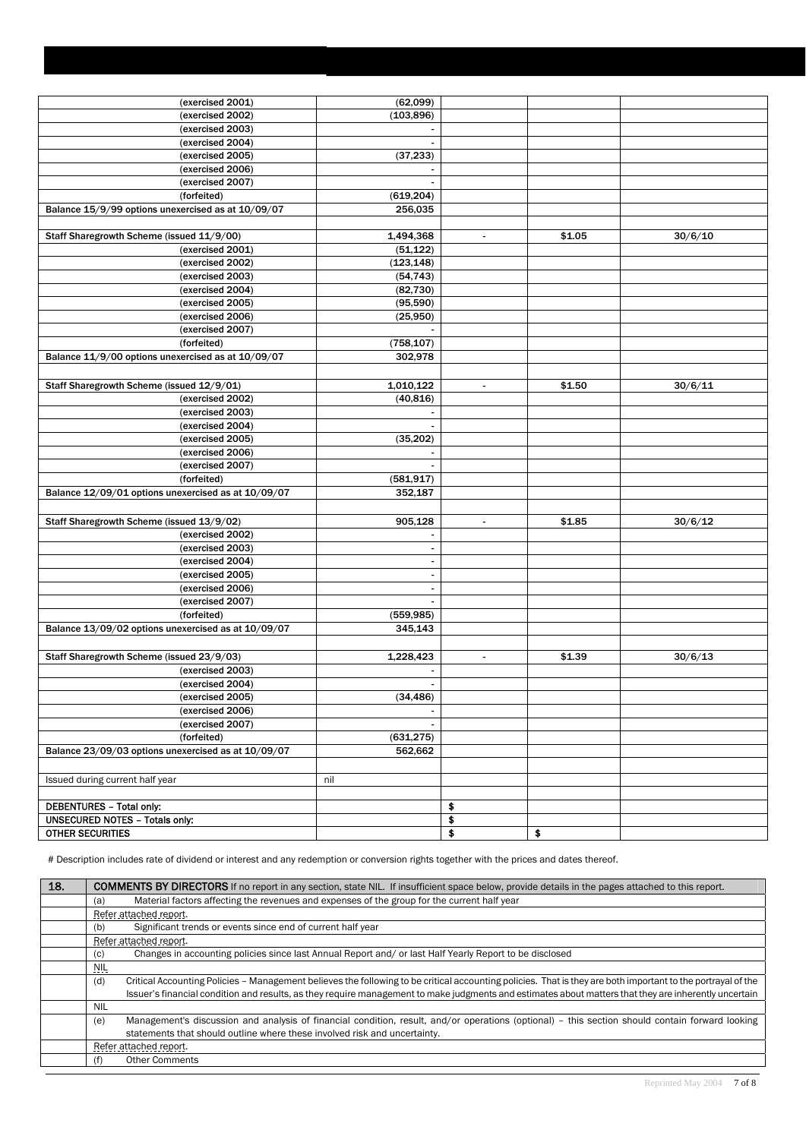| (exercised 2001) | (62,099)   |  |
|------------------|------------|--|
| (exercised 2002) | (103, 896) |  |
| (exercised 2003) |            |  |
| (exercised 2004) |            |  |
| (averciced 2005) | (37.933)   |  |

| (exercised 2005)                                    | (37, 233)                |                |        |         |
|-----------------------------------------------------|--------------------------|----------------|--------|---------|
| (exercised 2006)                                    |                          |                |        |         |
| (exercised 2007)                                    |                          |                |        |         |
| (forfeited)                                         | (619, 204)               |                |        |         |
| Balance 15/9/99 options unexercised as at 10/09/07  | 256,035                  |                |        |         |
|                                                     |                          |                |        |         |
| Staff Sharegrowth Scheme (issued 11/9/00)           | 1,494,368                | $\blacksquare$ | \$1.05 | 30/6/10 |
| (exercised 2001)                                    | (51, 122)                |                |        |         |
| (exercised 2002)                                    | (123, 148)               |                |        |         |
| (exercised 2003)                                    | (54, 743)                |                |        |         |
| (exercised 2004)                                    | (82, 730)                |                |        |         |
| (exercised 2005)                                    | (95, 590)                |                |        |         |
| (exercised 2006)                                    | (25,950)                 |                |        |         |
| $\overline{(exercised 2007)}$                       |                          |                |        |         |
| (forfeited)                                         | (758, 107)               |                |        |         |
| Balance 11/9/00 options unexercised as at 10/09/07  | 302,978                  |                |        |         |
|                                                     |                          |                |        |         |
| Staff Sharegrowth Scheme (issued 12/9/01)           | 1,010,122                | $\blacksquare$ | \$1.50 | 30/6/11 |
| (exercised 2002)                                    | (40, 816)                |                |        |         |
| (exercised 2003)                                    | $\overline{\phantom{a}}$ |                |        |         |
| (exercised 2004)                                    | $\blacksquare$           |                |        |         |
| (exercised 2005)                                    | (35, 202)                |                |        |         |
| (exercised 2006)                                    |                          |                |        |         |
| (exercised 2007)                                    |                          |                |        |         |
| (forfeited)                                         | (581, 917)               |                |        |         |
|                                                     | 352,187                  |                |        |         |
| Balance 12/09/01 options unexercised as at 10/09/07 |                          |                |        |         |
|                                                     |                          |                |        |         |
| Staff Sharegrowth Scheme (issued 13/9/02)           | 905,128                  | $\blacksquare$ | \$1.85 | 30/6/12 |
| (exercised 2002)                                    | $\overline{\phantom{a}}$ |                |        |         |
| (exercised 2003)                                    | $\blacksquare$           |                |        |         |
| (exercised 2004)                                    | $\blacksquare$           |                |        |         |
| (exercised 2005)                                    | $\overline{a}$           |                |        |         |
| (exercised 2006)                                    | $\sim$                   |                |        |         |
| (exercised 2007)                                    | $\sim$                   |                |        |         |
| (forfeited)                                         | (559, 985)               |                |        |         |
| Balance 13/09/02 options unexercised as at 10/09/07 | 345,143                  |                |        |         |
|                                                     |                          |                |        |         |
| Staff Sharegrowth Scheme (issued 23/9/03)           | 1,228,423                | $\omega$       | \$1.39 | 30/6/13 |
| (exercised 2003)                                    |                          |                |        |         |
| (exercised 2004)                                    | $\blacksquare$           |                |        |         |
| (exercised 2005)                                    | (34, 486)                |                |        |         |
| (exercised 2006)                                    | $\overline{\phantom{a}}$ |                |        |         |
| (exercised 2007)                                    |                          |                |        |         |
| (forfeited)                                         | (631, 275)               |                |        |         |
| Balance 23/09/03 options unexercised as at 10/09/07 | 562,662                  |                |        |         |
|                                                     |                          |                |        |         |
| Issued during current half year                     | nil                      |                |        |         |
|                                                     |                          |                |        |         |
| DEBENTURES - Total only:                            |                          | \$             |        |         |
| <b>UNSECURED NOTES - Totals only:</b>               |                          | \$             |        |         |
| <b>OTHER SECURITIES</b>                             |                          | \$             | \$     |         |
|                                                     |                          |                |        |         |

# Description includes rate of dividend or interest and any redemption or conversion rights together with the prices and dates thereof.

| 18. | <b>COMMENTS BY DIRECTORS</b> If no report in any section, state NIL. If insufficient space below, provide details in the pages attached to this report.             |
|-----|---------------------------------------------------------------------------------------------------------------------------------------------------------------------|
|     | Material factors affecting the revenues and expenses of the group for the current half year<br>(a)                                                                  |
|     | Refer attached report.                                                                                                                                              |
|     | Significant trends or events since end of current half year<br>(b)                                                                                                  |
|     | Refer attached report.                                                                                                                                              |
|     | Changes in accounting policies since last Annual Report and/ or last Half Yearly Report to be disclosed<br>(C)                                                      |
|     | NIL                                                                                                                                                                 |
|     | (d)<br>Critical Accounting Policies – Management believes the following to be critical accounting policies. That is they are both important to the portrayal of the |
|     | Issuer's financial condition and results, as they require management to make judgments and estimates about matters that they are inherently uncertain               |
|     | NIL                                                                                                                                                                 |
|     | Management's discussion and analysis of financial condition, result, and/or operations (optional) - this section should contain forward looking<br>(e)              |
|     | statements that should outline where these involved risk and uncertainty.                                                                                           |
|     | Refer attached report.                                                                                                                                              |
|     | <b>Other Comments</b><br>(f)                                                                                                                                        |